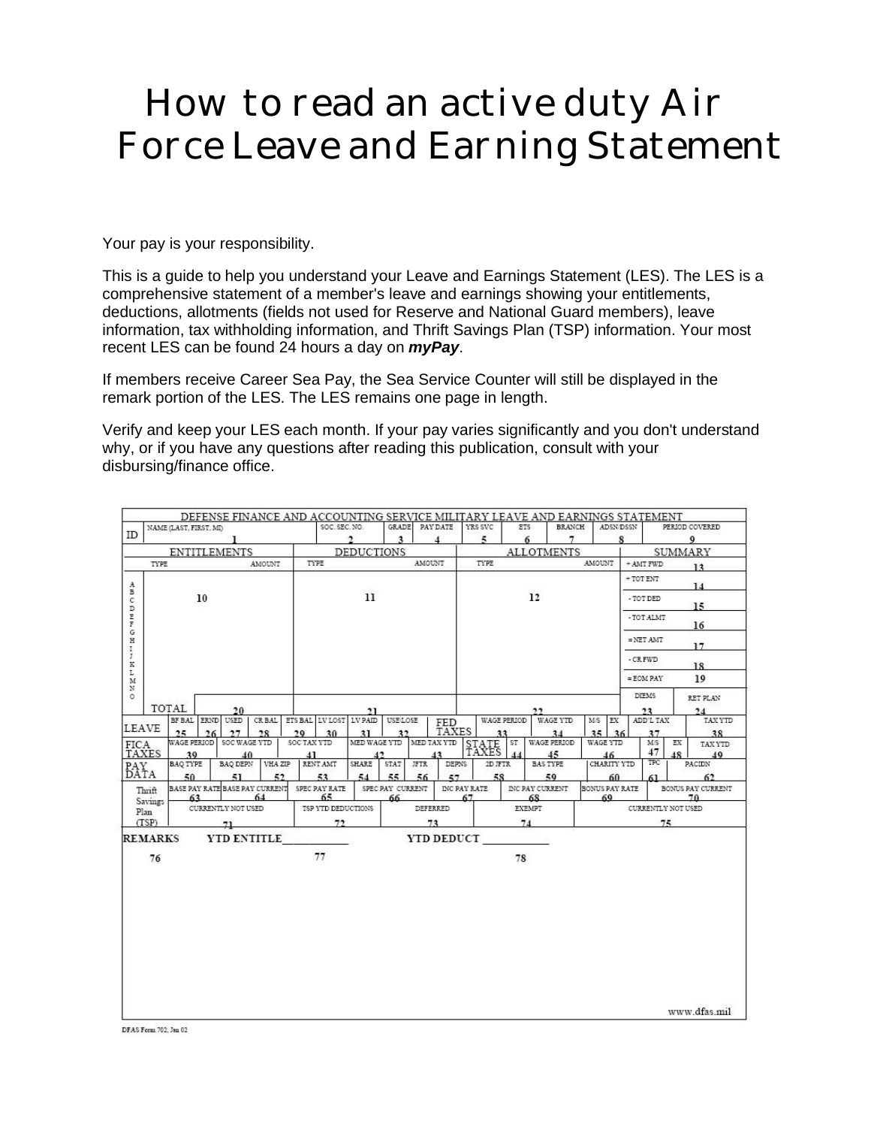# How to read an active duty Air Force Leave and Earning Statement

Your pay is your responsibility.

This is a guide to help you understand your Leave and Earnings Statement (LES). The LES is a comprehensive statement of a member's leave and earnings showing your entitlements, deductions, allotments (fields not used for Reserve and National Guard members), leave information, tax withholding information, and Thrift Savings Plan (TSP) information. Your most recent LES can be found 24 hours a day on *myPay*.

If members receive Career Sea Pay, the Sea Service Counter will still be displayed in the remark portion of the LES. The LES remains one page in length.

Verify and keep your LES each month. If your pay varies significantly and you don't understand why, or if you have any questions after reading this publication, consult with your disbursing/finance office.

|                     |                |                                     | DEFENSE FINANCE AND ACCOUNTING SERVICE MILITARY LEAVE AND EARNINGS STATEMENT |                   |                               |               |              |                  |                   |                   |                         |     |                 |               |                           |                   |                 |    |                   |
|---------------------|----------------|-------------------------------------|------------------------------------------------------------------------------|-------------------|-------------------------------|---------------|--------------|------------------|-------------------|-------------------|-------------------------|-----|-----------------|---------------|---------------------------|-------------------|-----------------|----|-------------------|
|                     |                | NAME (LAST, FIRST, MI)              |                                                                              |                   |                               | SOC. SEC. NO. |              | GRADE            | PAY DATE          |                   | YRS SVC                 | ETS |                 | <b>BRANCH</b> |                           | ADSN/DSSN         |                 |    | PERIOD COVERED    |
| ID                  |                |                                     |                                                                              |                   |                               |               | $\mathbf{2}$ | $\mathbf{3}$     | $\overline{4}$    |                   | 5                       | 6   |                 | 7             |                           | 8                 |                 |    | 9                 |
| <b>ENTITLEMENTS</b> |                |                                     |                                                                              | <b>DEDUCTIONS</b> |                               |               |              |                  |                   | <b>ALLOTMENTS</b> |                         |     |                 |               | <b>SUMMARY</b>            |                   |                 |    |                   |
|                     | TYPE           | AMOUNT                              |                                                                              |                   | TYPE                          |               |              | AMOUNT           |                   |                   | TYPE                    |     |                 | <b>AMOUNT</b> | + AMT FWD<br>13           |                   |                 |    |                   |
| $_{\rm A}$<br>в     |                |                                     |                                                                              |                   |                               |               |              |                  |                   |                   |                         |     |                 |               | $+$ TOT ENT<br>14         |                   |                 |    |                   |
| $\mathsf{C}$<br>D   | 10             |                                     |                                                                              |                   | 11                            |               |              |                  |                   |                   | 12                      |     |                 |               |                           | -TOT DED<br>15    |                 |    |                   |
| n in<br>G           |                |                                     |                                                                              |                   |                               |               |              |                  |                   |                   |                         |     |                 |               | - TOT ALMT<br>16          |                   |                 |    |                   |
| $\mathbf H$<br>1    |                |                                     |                                                                              |                   |                               |               |              |                  |                   |                   |                         |     |                 |               |                           | $=$ NET AMT<br>17 |                 |    |                   |
| Ţ<br>K              |                |                                     |                                                                              |                   |                               |               |              |                  |                   |                   |                         |     |                 |               |                           | - CR FWD<br>18    |                 |    |                   |
| L<br>M<br>N         |                |                                     |                                                                              |                   |                               |               |              |                  |                   |                   |                         |     |                 |               |                           | 19<br>$=$ EOM PAY |                 |    |                   |
| $\circ$             |                | TOTAL                               |                                                                              |                   |                               |               |              |                  | 22                |                   |                         |     |                 |               | <b>DIEMS</b>              |                   | RET PLAN        |    |                   |
|                     |                | 20<br>BF BAL ERND<br>USED<br>CR BAL |                                                                              |                   | 21<br>ETS BAL LV LOST LV PAID |               |              | USELOSE<br>FED   |                   |                   | WAGE PERIOD<br>WAGE YTD |     |                 |               | MS<br>EX                  |                   | 23<br>ADD'L TAX |    | 24<br>TAX YTD     |
| <b>LEAVE</b>        |                | 25<br>26                            | 27                                                                           | 28                | 70                            | 30            | 31           | 32               |                   | <b>TAXES</b>      |                         | 33  |                 | 34            | 35.                       | 36                | 37              |    | 38                |
| <b>FICA</b>         |                | WAGE PERIOD                         | SOC WAGE YTD                                                                 |                   | SOC TAX YTD                   |               | MED WAGE YTD |                  | MED TAX YTD       |                   | STATE ST                |     |                 | WAGE PERIOD   | WAGE YTD                  |                   | M <sub>S</sub>  | EX | TAX YTD           |
|                     | TAXES          | 30                                  | 40<br><b>BAQ DEPN</b>                                                        | VHA ZIP           | 41<br>RENT AMT                |               | SHARE        | STAT             | 42<br><b>JFTR</b> | DEPNS             | TAXES<br>2D JFTR        |     | <b>BAS TYPE</b> | 45            | 46<br>CHARITY YTD         |                   | 47<br>TPC       | 48 | 40<br>PACIDN      |
| PAY<br>DATA         |                | <b>BAQ TYPE</b><br>50               | 51                                                                           | 52                |                               | 53            | 54           | 55               | 56                | 57                | 58                      |     |                 | 59            | 60                        |                   | 61              |    | 62                |
|                     | Thrift         |                                     | BASE PAY RATE BASE PAY CURRENT                                               |                   | SPEC PAY RATE                 |               |              | SPEC PAY CURRENT |                   | INC PAY RATE      |                         |     | INC PAY CURRENT |               | BONUS PAY RATE            |                   |                 |    | BONUS PAY CURRENT |
|                     | <b>Savings</b> | 64<br>63                            |                                                                              |                   | 65                            |               | 66           |                  |                   | 67                |                         | 68  |                 | 69            |                           | 70                |                 |    |                   |
|                     | Plan           | CURRENTLY NOT USED                  |                                                                              |                   | TSP YTD DEDUCTIONS            |               |              | DEFERRED         |                   |                   | <b>EXEMPT</b>           |     |                 |               | <b>CURRENTLY NOT USED</b> |                   |                 |    |                   |
| (TSP)               |                | 71                                  |                                                                              |                   | 72                            |               |              | 73               |                   |                   | 74                      |     |                 |               | 75                        |                   |                 |    |                   |
|                     | <b>REMARKS</b> |                                     | YTD ENTITLE                                                                  |                   |                               |               |              |                  | YTD DEDUCT        |                   |                         |     |                 |               |                           |                   |                 |    |                   |
|                     | 76             |                                     |                                                                              |                   | 77                            |               |              |                  |                   |                   |                         | 78  |                 |               |                           |                   |                 |    |                   |
|                     |                |                                     |                                                                              |                   |                               |               |              |                  |                   |                   |                         |     |                 |               |                           |                   |                 |    |                   |
|                     |                |                                     |                                                                              |                   |                               |               |              |                  |                   |                   |                         |     |                 |               |                           |                   |                 |    |                   |
|                     |                |                                     |                                                                              |                   |                               |               |              |                  |                   |                   |                         |     |                 |               |                           |                   |                 |    |                   |
|                     |                |                                     |                                                                              |                   |                               |               |              |                  |                   |                   |                         |     |                 |               |                           |                   |                 |    |                   |
|                     |                |                                     |                                                                              |                   |                               |               |              |                  |                   |                   |                         |     |                 |               |                           |                   |                 |    |                   |
|                     |                |                                     |                                                                              |                   |                               |               |              |                  |                   |                   |                         |     |                 |               |                           |                   |                 |    |                   |
|                     |                |                                     |                                                                              |                   |                               |               |              |                  |                   |                   |                         |     |                 |               |                           |                   |                 |    |                   |
|                     |                |                                     |                                                                              |                   |                               |               |              |                  |                   |                   |                         |     |                 |               |                           |                   |                 |    | www.dfas.mil      |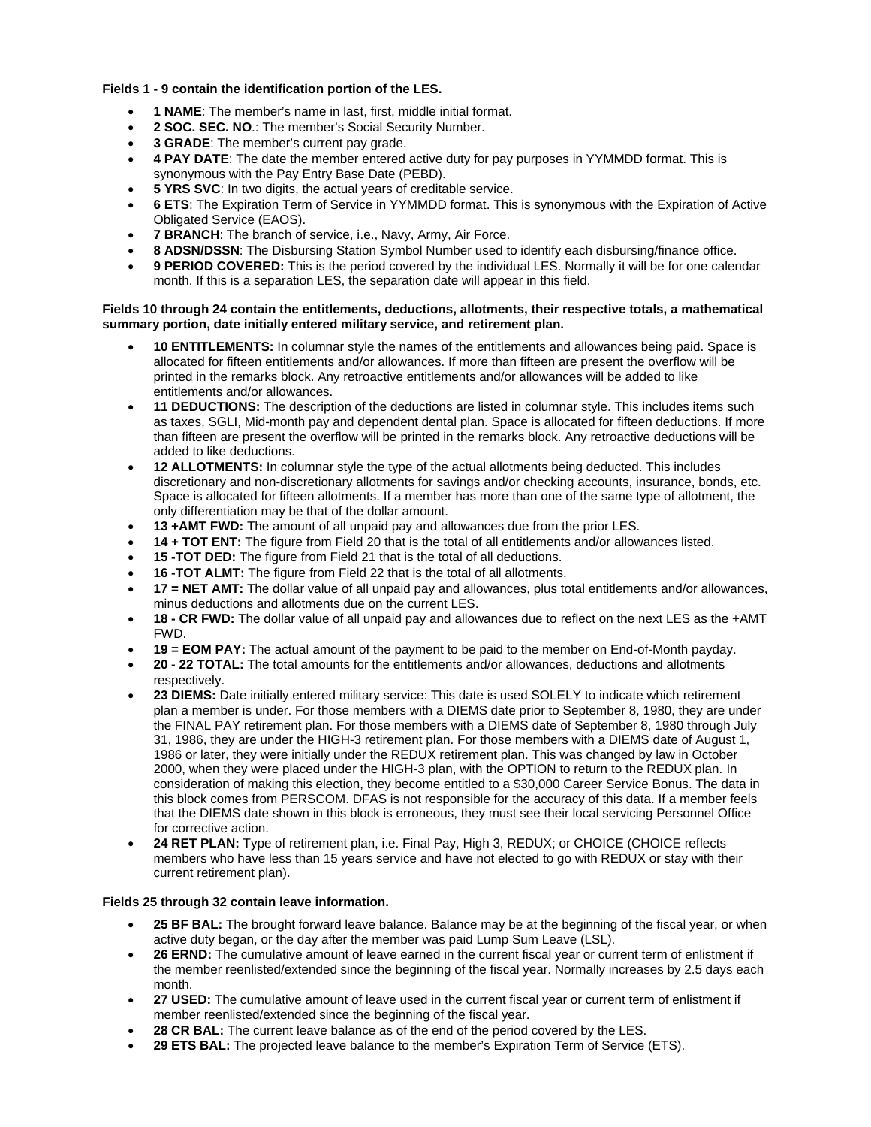#### **Fields 1 - 9 contain the identification portion of the LES.**

- **1 NAME**: The member's name in last, first, middle initial format.
- **2 SOC. SEC. NO**.: The member's Social Security Number.
- **3 GRADE**: The member's current pay grade.
- **4 PAY DATE**: The date the member entered active duty for pay purposes in YYMMDD format. This is synonymous with the Pay Entry Base Date (PEBD).
- **5 YRS SVC**: In two digits, the actual years of creditable service.
- **6 ETS**: The Expiration Term of Service in YYMMDD format. This is synonymous with the Expiration of Active Obligated Service (EAOS).
- **7 BRANCH:** The branch of service, i.e., Navy, Army, Air Force.
- **8 ADSN/DSSN**: The Disbursing Station Symbol Number used to identify each disbursing/finance office.
- **9 PERIOD COVERED:** This is the period covered by the individual LES. Normally it will be for one calendar month. If this is a separation LES, the separation date will appear in this field.

#### **Fields 10 through 24 contain the entitlements, deductions, allotments, their respective totals, a mathematical summary portion, date initially entered military service, and retirement plan.**

- **10 ENTITLEMENTS:** In columnar style the names of the entitlements and allowances being paid. Space is allocated for fifteen entitlements and/or allowances. If more than fifteen are present the overflow will be printed in the remarks block. Any retroactive entitlements and/or allowances will be added to like entitlements and/or allowances.
- **11 DEDUCTIONS:** The description of the deductions are listed in columnar style. This includes items such as taxes, SGLI, Mid-month pay and dependent dental plan. Space is allocated for fifteen deductions. If more than fifteen are present the overflow will be printed in the remarks block. Any retroactive deductions will be added to like deductions.
- **12 ALLOTMENTS:** In columnar style the type of the actual allotments being deducted. This includes discretionary and non-discretionary allotments for savings and/or checking accounts, insurance, bonds, etc. Space is allocated for fifteen allotments. If a member has more than one of the same type of allotment, the only differentiation may be that of the dollar amount.
- **13 +AMT FWD:** The amount of all unpaid pay and allowances due from the prior LES.
- **14 + TOT ENT:** The figure from Field 20 that is the total of all entitlements and/or allowances listed.
- **15 -TOT DED:** The figure from Field 21 that is the total of all deductions.
- **16 -TOT ALMT:** The figure from Field 22 that is the total of all allotments.
- **17 = NET AMT:** The dollar value of all unpaid pay and allowances, plus total entitlements and/or allowances, minus deductions and allotments due on the current LES.
- **18 CR FWD:** The dollar value of all unpaid pay and allowances due to reflect on the next LES as the +AMT FWD.
- **19 = EOM PAY:** The actual amount of the payment to be paid to the member on End-of-Month payday.
- **20 22 TOTAL:** The total amounts for the entitlements and/or allowances, deductions and allotments respectively.
- **23 DIEMS:** Date initially entered military service: This date is used SOLELY to indicate which retirement plan a member is under. For those members with a DIEMS date prior to September 8, 1980, they are under the FINAL PAY retirement plan. For those members with a DIEMS date of September 8, 1980 through July 31, 1986, they are under the HIGH-3 retirement plan. For those members with a DIEMS date of August 1, 1986 or later, they were initially under the REDUX retirement plan. This was changed by law in October 2000, when they were placed under the HIGH-3 plan, with the OPTION to return to the REDUX plan. In consideration of making this election, they become entitled to a \$30,000 Career Service Bonus. The data in this block comes from PERSCOM. DFAS is not responsible for the accuracy of this data. If a member feels that the DIEMS date shown in this block is erroneous, they must see their local servicing Personnel Office for corrective action.
- **24 RET PLAN:** Type of retirement plan, i.e. Final Pay, High 3, REDUX; or CHOICE (CHOICE reflects members who have less than 15 years service and have not elected to go with REDUX or stay with their current retirement plan).

#### **Fields 25 through 32 contain leave information.**

- **25 BF BAL:** The brought forward leave balance. Balance may be at the beginning of the fiscal year, or when active duty began, or the day after the member was paid Lump Sum Leave (LSL).
- **26 ERND:** The cumulative amount of leave earned in the current fiscal year or current term of enlistment if the member reenlisted/extended since the beginning of the fiscal year. Normally increases by 2.5 days each month.
- **27 USED:** The cumulative amount of leave used in the current fiscal year or current term of enlistment if member reenlisted/extended since the beginning of the fiscal year.
- **28 CR BAL:** The current leave balance as of the end of the period covered by the LES.
- **29 ETS BAL:** The projected leave balance to the member's Expiration Term of Service (ETS).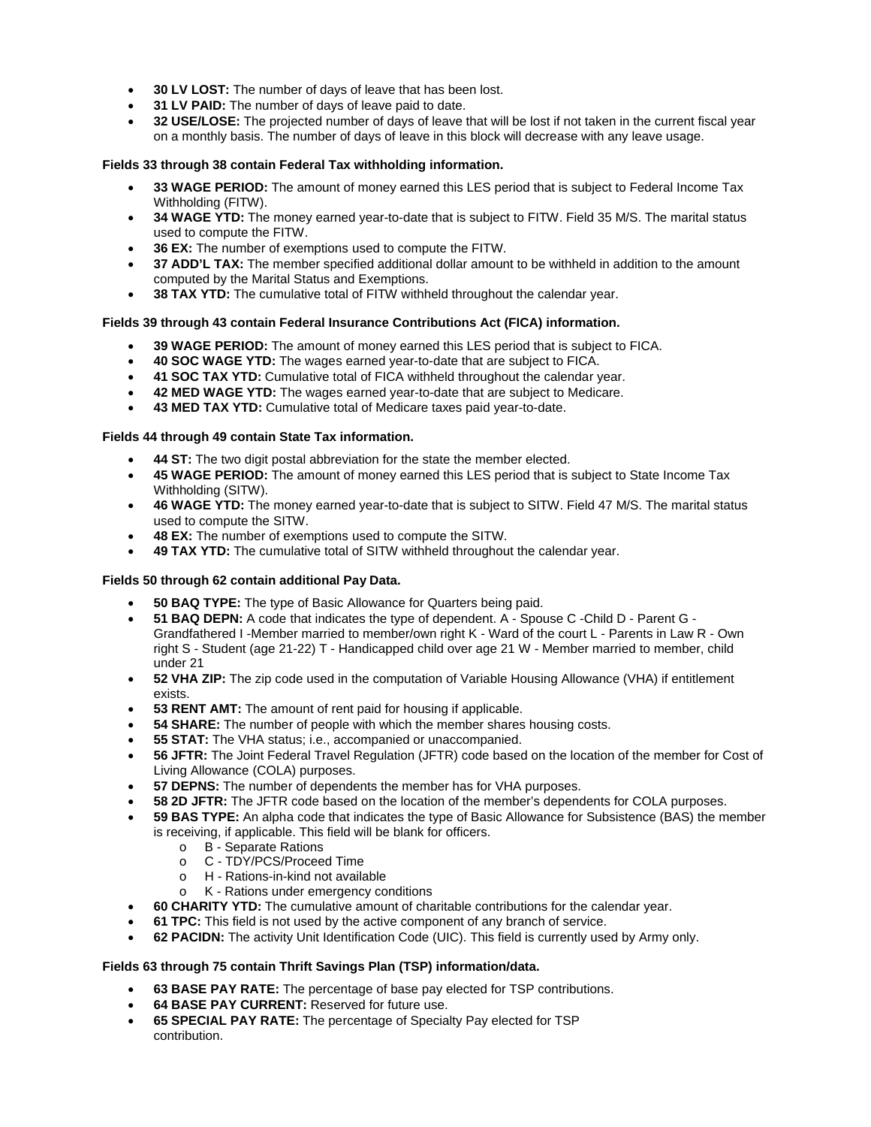- **30 LV LOST:** The number of days of leave that has been lost.
- **31 LV PAID:** The number of days of leave paid to date.
- **32 USE/LOSE:** The projected number of days of leave that will be lost if not taken in the current fiscal year on a monthly basis. The number of days of leave in this block will decrease with any leave usage.

## **Fields 33 through 38 contain Federal Tax withholding information.**

- **33 WAGE PERIOD:** The amount of money earned this LES period that is subject to Federal Income Tax Withholding (FITW).
- **34 WAGE YTD:** The money earned year-to-date that is subject to FITW. Field 35 M/S. The marital status used to compute the FITW.
- **36 EX:** The number of exemptions used to compute the FITW.
- **37 ADD'L TAX:** The member specified additional dollar amount to be withheld in addition to the amount computed by the Marital Status and Exemptions.
- **38 TAX YTD:** The cumulative total of FITW withheld throughout the calendar year.

## **Fields 39 through 43 contain Federal Insurance Contributions Act (FICA) information.**

- **39 WAGE PERIOD:** The amount of money earned this LES period that is subject to FICA.
- **40 SOC WAGE YTD:** The wages earned year-to-date that are subject to FICA.
- **41 SOC TAX YTD:** Cumulative total of FICA withheld throughout the calendar year.
- **42 MED WAGE YTD:** The wages earned year-to-date that are subject to Medicare.
- **43 MED TAX YTD:** Cumulative total of Medicare taxes paid year-to-date.

## **Fields 44 through 49 contain State Tax information.**

- **44 ST:** The two digit postal abbreviation for the state the member elected.
- **45 WAGE PERIOD:** The amount of money earned this LES period that is subject to State Income Tax Withholding (SITW).
- **46 WAGE YTD:** The money earned year-to-date that is subject to SITW. Field 47 M/S. The marital status used to compute the SITW.
- **48 EX:** The number of exemptions used to compute the SITW.
- **49 TAX YTD:** The cumulative total of SITW withheld throughout the calendar year.

## **Fields 50 through 62 contain additional Pay Data.**

- **50 BAQ TYPE:** The type of Basic Allowance for Quarters being paid.
- **51 BAQ DEPN:** A code that indicates the type of dependent. A Spouse C -Child D Parent G Grandfathered I -Member married to member/own right K - Ward of the court L - Parents in Law R - Own right S - Student (age 21-22) T - Handicapped child over age 21 W - Member married to member, child under 21
- **52 VHA ZIP:** The zip code used in the computation of Variable Housing Allowance (VHA) if entitlement exists.
- **53 RENT AMT:** The amount of rent paid for housing if applicable.
- **54 SHARE:** The number of people with which the member shares housing costs.
- **55 STAT:** The VHA status; i.e., accompanied or unaccompanied.
- **56 JFTR:** The Joint Federal Travel Regulation (JFTR) code based on the location of the member for Cost of Living Allowance (COLA) purposes.
- **57 DEPNS:** The number of dependents the member has for VHA purposes.
- **58 2D JFTR:** The JFTR code based on the location of the member's dependents for COLA purposes.
- **59 BAS TYPE:** An alpha code that indicates the type of Basic Allowance for Subsistence (BAS) the member is receiving, if applicable. This field will be blank for officers.
	- o B Separate Rations
	- o C TDY/PCS/Proceed Time
	- o H Rations-in-kind not available
	- o K Rations under emergency conditions
- **60 CHARITY YTD:** The cumulative amount of charitable contributions for the calendar year.
- **61 TPC:** This field is not used by the active component of any branch of service.
- **62 PACIDN:** The activity Unit Identification Code (UIC). This field is currently used by Army only.

## **Fields 63 through 75 contain Thrift Savings Plan (TSP) information/data.**

- **63 BASE PAY RATE:** The percentage of base pay elected for TSP contributions.
- **64 BASE PAY CURRENT:** Reserved for future use.
- **65 SPECIAL PAY RATE:** The percentage of Specialty Pay elected for TSP contribution.